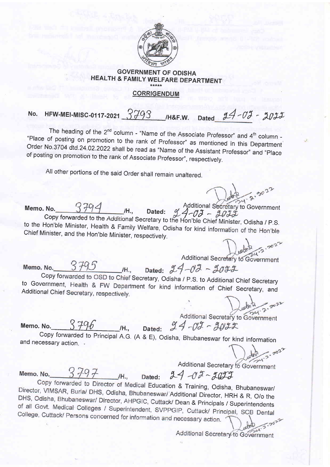

## GOVERNMENT OF ODISHA HEALTH & FAMILY WELFARE DEPARTMENT CORRIGENDUM

No. HFW-MEI-MISC-0117-2021  $3793$  /H&F.W. Dated  $24 - 03 - 2022$ 

The heading of the  $2^{nd}$  column - "Name of the Associate Professor" and  $4^{th}$  column - "Place of posting on promotion to the rank of Professor" as mentioned in this Department Order No.3704 dtd.24.02.2022 shall be read of posting on promotion to the rank of Associate Professor", respectively.

All other portions of the said Order shall remain unaltered.

Memo. No.  $\frac{3794}{1}$  /H., Dated:  $\frac{94}{1}$  -  $\frac{7}{1}$  -  $\frac{90^{11}}{1}$  -  $\frac{30^{12}}{1}$  -  $\frac{30^{12}}{1}$  -  $\frac{30^{12}}{1}$  -  $\frac{30^{12}}{1}$  -  $\frac{30^{12}}{1}$  -  $\frac{30^{12}}{1}$  -  $\frac{30^{12}}{1}$  -  $\frac{30^{12}}{1}$  -  $\frac{30^{1$ to the Hon'ble Minister, Health & Family Welfare, Odisha for kind information of the Hon'ble Chief Minister, and the Hon'ble Minister, respectively.

Memo. No.

Additional Secretary to Government

Dated:  $24 - 02 - 3032$ /H., Copy forwarded to OSD to Chief Secretary, Odisha / P.S. to Additional Chief Secretary to Government, Health & FW Department for kind information of Chief Secretary, and Additional Chief Secretary, respectively. to Government, Health & FW Department for kind information of Chief Secretary, and

Memo. No.  $3796$  /H., Da

Additional Secretary to Government  $94 - 02 - 9022$ 

Copy forwarded to Principal A.G. (A & E), Odisha, Bhubaneswar for kind information<br>and necessary action.

 $\cdot \cdot \cdot$ Additional Secretary to Government

Memo, No.

/H.,

Dated:  $24 - 02 - 2022$ 

Copy forwarded to Director of Medical Education & Training, Odisha, Bhubaneswar/ Director, VIMSAR, Burla/ DHS, Odisha, Bhubaneswar/ Additional Director, HRH & R, O/o the DHS, Odisha, Bhubaneswar/ Director, AHPGIC, Cuttack/ Dean & Principals / Superintendents<br>of all Govt. Medical Colleges / Superintendent, SVPPGIP, Cuttack/ Principal, SCB Dental College, Cuttack/ Persons concerned for information and necessary action.

Additional Secretary to Government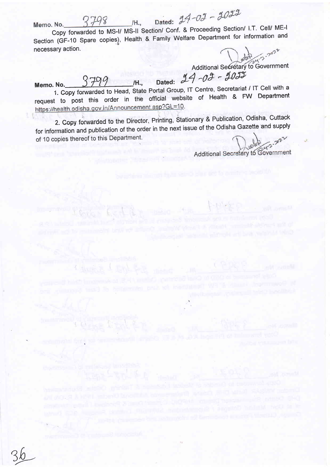Memo. No.

Dated:  $24 - 03 - 3023$ /H., Copy forwarded to MS-I/ MS-II Section/ Conf. & Proceeding Section/ I.T. Cell/ ME-I Section (GF-10 Spare copies), Health & Family Welfare Department for information and necessary action.

Additional Secretary to Government

Memo. No.  $3799$  M., Dated:  $24 - 03 - 903$ 

1. Copy forwarded to Head, State Portal Group, IT Centre, Secretariat / IT Cell with a request to post this order in the official website of Health & FW Department<br>https://health.odisha.gov.in/Announcement.asp?GL=10.

2. Copy forwarded to the Director, Printing, Stationary & Publication, Odisha, Cuttack for information and publication of the order in the next issue of the Odisha Gazette and supply of 10 copies thereof to this Department.

Additional Secretary to Government

36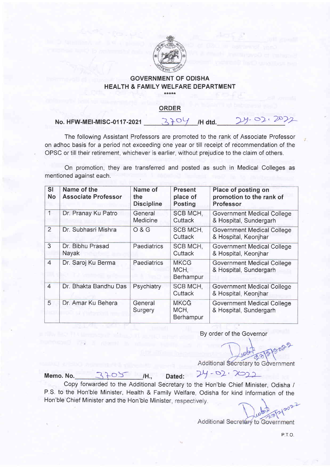

## GOVERNMENT OF ODISHA HEALTH & FAMILY WELFARE DEPARTMENT

## ORDER

No. HFW-MEI-MISC-0117-2021  $370$  /H dtd.

The following Assistant Professors are promoted to the rank of Associate Professor on adhoc basis for a period not exceeding one year or till receipt of recommendation of the OPSC or till their retirement, whichever is earlier, without prejudice to the claim of others.

On promotion, they are transferred and posted as such in Medical Colleges as mentioned against each.

| <b>SI</b><br>No | Name of the<br><b>Associate Professor</b> | Name of<br>the<br><b>Discipline</b> | <b>Present</b><br>place of<br><b>Posting</b> | Place of posting on<br>promotion to the rank of<br><b>Professor</b> |
|-----------------|-------------------------------------------|-------------------------------------|----------------------------------------------|---------------------------------------------------------------------|
| $\mathbf{1}$    | Dr. Pranay Ku Patro                       | General<br>Medicine                 | SCB MCH,<br>Cuttack                          | <b>Government Medical College</b><br>& Hospital, Sundergarh         |
| $\overline{2}$  | Dr. Subhasri Mishra                       | O & G                               | <b>SCB MCH,</b><br>Cuttack                   | <b>Government Medical College</b><br>& Hospital, Keonjhar           |
| 3               | Dr. Bibhu Prasad<br>Nayak                 | Paediatrics                         | SCB MCH,<br>Cuttack                          | <b>Government Medical College</b><br>& Hospital, Keonjhar           |
| $\overline{4}$  | Dr. Saroj Ku Berma                        | Paediatrics                         | <b>MKCG</b><br>MCH,<br>Berhampur             | <b>Government Medical College</b><br>& Hospital, Sundergarh         |
| $\overline{4}$  | Dr. Bhakta Bandhu Das                     | Psychiatry                          | SCB MCH,<br>Cuttack                          | Government Medical College<br>& Hospital, Keonjhar                  |
| 5               | Dr. Amar Ku Behera                        | General<br>Surgery                  | <b>MKCG</b><br>MCH,<br>Berhampur             | <b>Government Medical College</b><br>& Hospital, Sundergarh         |

By order of the Governor

Additional Secretary to Government

Memo. No.  $3705$  H., Dated:  $24 - 92 \cdot 2022$ 

Copy forwarded to the Additional Secretary to the Hon'ble Chief Minister, Odisha / P.S. to the Hon'ble Minister, Health & Family Welfare, Odisha for kind information of the Hon'ble Chief Minister and the Hon'ble Minister, respectively.

tH.,

Additional Secretary to Government